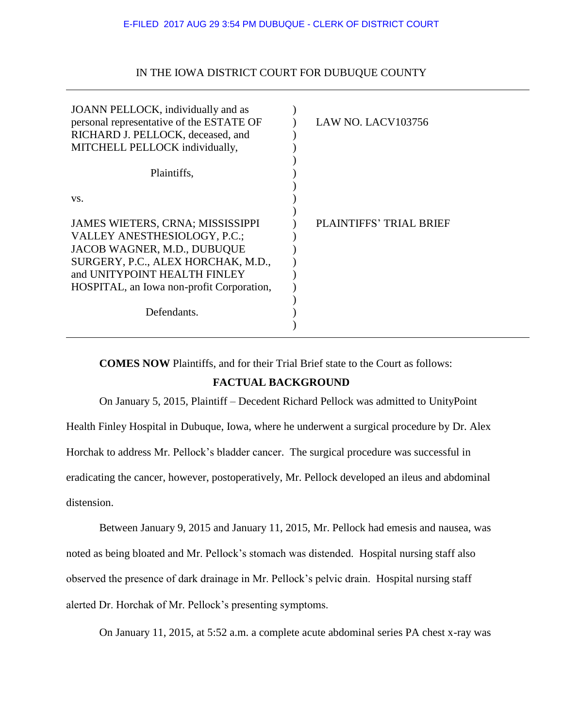## IN THE IOWA DISTRICT COURT FOR DUBUQUE COUNTY

| JOANN PELLOCK, individually and as<br>personal representative of the ESTATE OF<br>RICHARD J. PELLOCK, deceased, and<br>MITCHELL PELLOCK individually,<br>Plaintiffs,<br>VS. | LAW NO. LACV103756             |
|-----------------------------------------------------------------------------------------------------------------------------------------------------------------------------|--------------------------------|
| JAMES WIETERS, CRNA; MISSISSIPPI<br>VALLEY ANESTHESIOLOGY, P.C.;<br>JACOB WAGNER, M.D., DUBUQUE<br>SURGERY, P.C., ALEX HORCHAK, M.D.,                                       | <b>PLAINTIFFS' TRIAL BRIEF</b> |
| and UNITYPOINT HEALTH FINLEY<br>HOSPITAL, an Iowa non-profit Corporation,                                                                                                   |                                |
| Defendants.                                                                                                                                                                 |                                |

**COMES NOW** Plaintiffs, and for their Trial Brief state to the Court as follows:

## **FACTUAL BACKGROUND**

On January 5, 2015, Plaintiff – Decedent Richard Pellock was admitted to UnityPoint

Health Finley Hospital in Dubuque, Iowa, where he underwent a surgical procedure by Dr. Alex

Horchak to address Mr. Pellock's bladder cancer. The surgical procedure was successful in

eradicating the cancer, however, postoperatively, Mr. Pellock developed an ileus and abdominal distension.

Between January 9, 2015 and January 11, 2015, Mr. Pellock had emesis and nausea, was noted as being bloated and Mr. Pellock's stomach was distended. Hospital nursing staff also observed the presence of dark drainage in Mr. Pellock's pelvic drain. Hospital nursing staff alerted Dr. Horchak of Mr. Pellock's presenting symptoms.

On January 11, 2015, at 5:52 a.m. a complete acute abdominal series PA chest x-ray was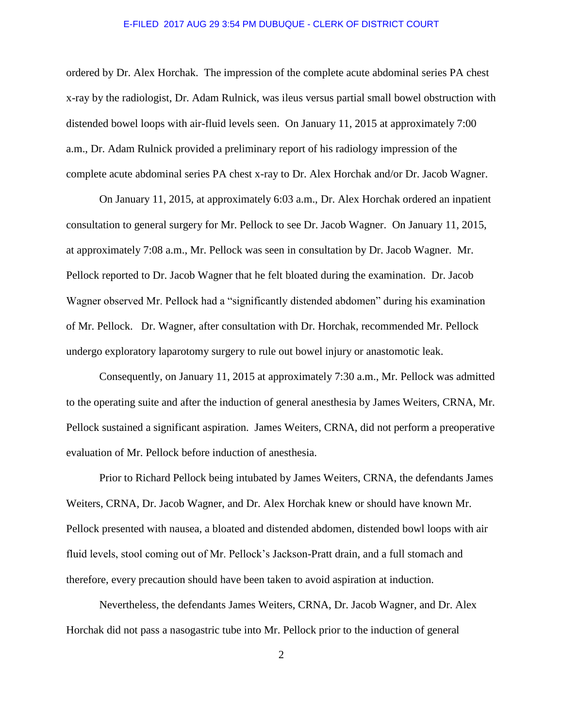ordered by Dr. Alex Horchak. The impression of the complete acute abdominal series PA chest x-ray by the radiologist, Dr. Adam Rulnick, was ileus versus partial small bowel obstruction with distended bowel loops with air-fluid levels seen. On January 11, 2015 at approximately 7:00 a.m., Dr. Adam Rulnick provided a preliminary report of his radiology impression of the complete acute abdominal series PA chest x-ray to Dr. Alex Horchak and/or Dr. Jacob Wagner.

On January 11, 2015, at approximately 6:03 a.m., Dr. Alex Horchak ordered an inpatient consultation to general surgery for Mr. Pellock to see Dr. Jacob Wagner. On January 11, 2015, at approximately 7:08 a.m., Mr. Pellock was seen in consultation by Dr. Jacob Wagner. Mr. Pellock reported to Dr. Jacob Wagner that he felt bloated during the examination. Dr. Jacob Wagner observed Mr. Pellock had a "significantly distended abdomen" during his examination of Mr. Pellock. Dr. Wagner, after consultation with Dr. Horchak, recommended Mr. Pellock undergo exploratory laparotomy surgery to rule out bowel injury or anastomotic leak.

Consequently, on January 11, 2015 at approximately 7:30 a.m., Mr. Pellock was admitted to the operating suite and after the induction of general anesthesia by James Weiters, CRNA, Mr. Pellock sustained a significant aspiration. James Weiters, CRNA, did not perform a preoperative evaluation of Mr. Pellock before induction of anesthesia.

Prior to Richard Pellock being intubated by James Weiters, CRNA, the defendants James Weiters, CRNA, Dr. Jacob Wagner, and Dr. Alex Horchak knew or should have known Mr. Pellock presented with nausea, a bloated and distended abdomen, distended bowl loops with air fluid levels, stool coming out of Mr. Pellock's Jackson-Pratt drain, and a full stomach and therefore, every precaution should have been taken to avoid aspiration at induction.

Nevertheless, the defendants James Weiters, CRNA, Dr. Jacob Wagner, and Dr. Alex Horchak did not pass a nasogastric tube into Mr. Pellock prior to the induction of general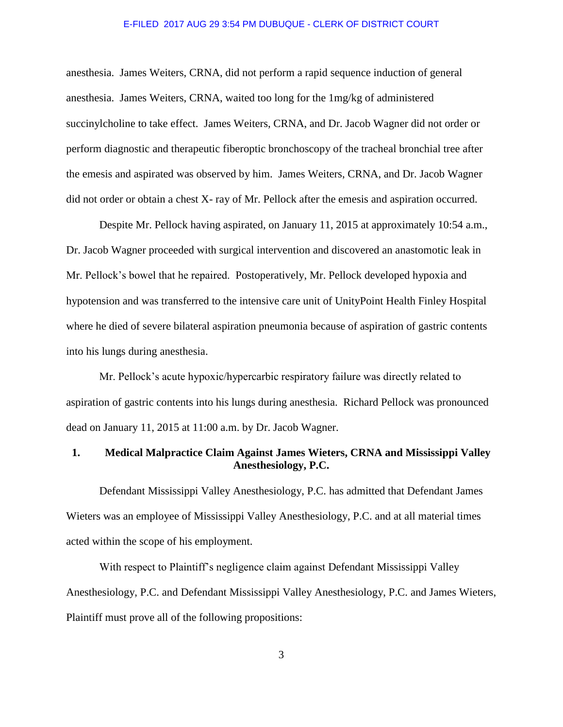anesthesia. James Weiters, CRNA, did not perform a rapid sequence induction of general anesthesia. James Weiters, CRNA, waited too long for the 1mg/kg of administered succinylcholine to take effect. James Weiters, CRNA, and Dr. Jacob Wagner did not order or perform diagnostic and therapeutic fiberoptic bronchoscopy of the tracheal bronchial tree after the emesis and aspirated was observed by him. James Weiters, CRNA, and Dr. Jacob Wagner did not order or obtain a chest X- ray of Mr. Pellock after the emesis and aspiration occurred.

Despite Mr. Pellock having aspirated, on January 11, 2015 at approximately 10:54 a.m., Dr. Jacob Wagner proceeded with surgical intervention and discovered an anastomotic leak in Mr. Pellock's bowel that he repaired. Postoperatively, Mr. Pellock developed hypoxia and hypotension and was transferred to the intensive care unit of UnityPoint Health Finley Hospital where he died of severe bilateral aspiration pneumonia because of aspiration of gastric contents into his lungs during anesthesia.

Mr. Pellock's acute hypoxic/hypercarbic respiratory failure was directly related to aspiration of gastric contents into his lungs during anesthesia. Richard Pellock was pronounced dead on January 11, 2015 at 11:00 a.m. by Dr. Jacob Wagner.

## **1. Medical Malpractice Claim Against James Wieters, CRNA and Mississippi Valley Anesthesiology, P.C.**

Defendant Mississippi Valley Anesthesiology, P.C. has admitted that Defendant James Wieters was an employee of Mississippi Valley Anesthesiology, P.C. and at all material times acted within the scope of his employment.

With respect to Plaintiff's negligence claim against Defendant Mississippi Valley Anesthesiology, P.C. and Defendant Mississippi Valley Anesthesiology, P.C. and James Wieters, Plaintiff must prove all of the following propositions: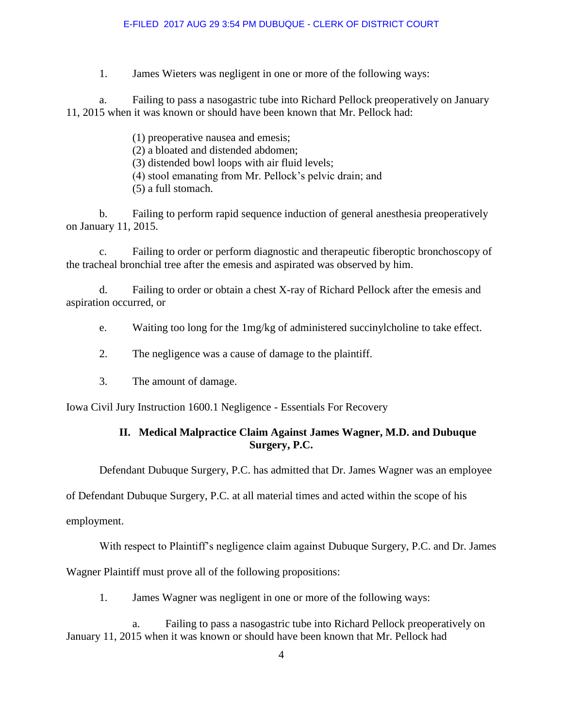1. James Wieters was negligent in one or more of the following ways:

a. Failing to pass a nasogastric tube into Richard Pellock preoperatively on January 11, 2015 when it was known or should have been known that Mr. Pellock had:

> (1) preoperative nausea and emesis; (2) a bloated and distended abdomen; (3) distended bowl loops with air fluid levels; (4) stool emanating from Mr. Pellock's pelvic drain; and (5) a full stomach.

b. Failing to perform rapid sequence induction of general anesthesia preoperatively on January 11, 2015.

c. Failing to order or perform diagnostic and therapeutic fiberoptic bronchoscopy of the tracheal bronchial tree after the emesis and aspirated was observed by him.

d. Failing to order or obtain a chest X-ray of Richard Pellock after the emesis and aspiration occurred, or

e. Waiting too long for the 1mg/kg of administered succinylcholine to take effect.

- 2. The negligence was a cause of damage to the plaintiff.
- 3. The amount of damage.

Iowa Civil Jury Instruction 1600.1 Negligence - Essentials For Recovery

# **II. Medical Malpractice Claim Against James Wagner, M.D. and Dubuque Surgery, P.C.**

Defendant Dubuque Surgery, P.C. has admitted that Dr. James Wagner was an employee

of Defendant Dubuque Surgery, P.C. at all material times and acted within the scope of his

employment.

With respect to Plaintiff's negligence claim against Dubuque Surgery, P.C. and Dr. James

Wagner Plaintiff must prove all of the following propositions:

1. James Wagner was negligent in one or more of the following ways:

 a. Failing to pass a nasogastric tube into Richard Pellock preoperatively on January 11, 2015 when it was known or should have been known that Mr. Pellock had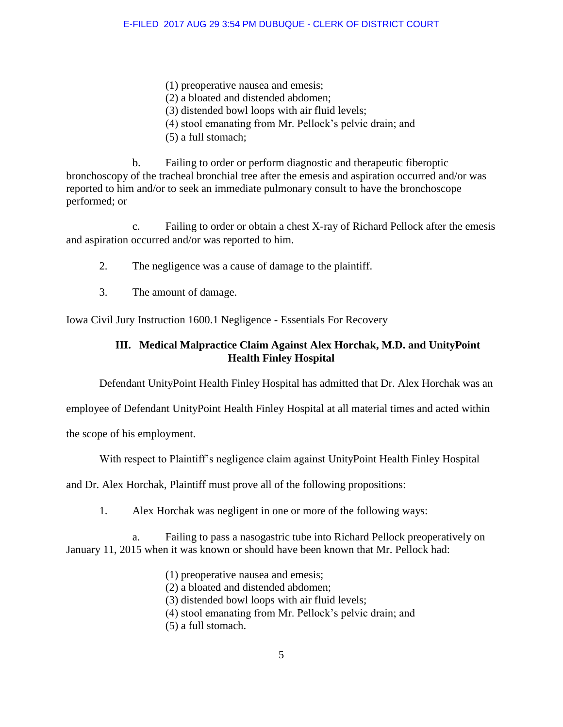- (1) preoperative nausea and emesis;
- (2) a bloated and distended abdomen;
- (3) distended bowl loops with air fluid levels;
- (4) stool emanating from Mr. Pellock's pelvic drain; and
- (5) a full stomach;

 b. Failing to order or perform diagnostic and therapeutic fiberoptic bronchoscopy of the tracheal bronchial tree after the emesis and aspiration occurred and/or was reported to him and/or to seek an immediate pulmonary consult to have the bronchoscope performed; or

 c. Failing to order or obtain a chest X-ray of Richard Pellock after the emesis and aspiration occurred and/or was reported to him.

- 2. The negligence was a cause of damage to the plaintiff.
- 3. The amount of damage.

Iowa Civil Jury Instruction 1600.1 Negligence - Essentials For Recovery

# **III. Medical Malpractice Claim Against Alex Horchak, M.D. and UnityPoint Health Finley Hospital**

Defendant UnityPoint Health Finley Hospital has admitted that Dr. Alex Horchak was an

employee of Defendant UnityPoint Health Finley Hospital at all material times and acted within

the scope of his employment.

With respect to Plaintiff's negligence claim against UnityPoint Health Finley Hospital

and Dr. Alex Horchak, Plaintiff must prove all of the following propositions:

1. Alex Horchak was negligent in one or more of the following ways:

Failing to pass a nasogastric tube into Richard Pellock preoperatively on January 11, 2015 when it was known or should have been known that Mr. Pellock had:

- (1) preoperative nausea and emesis;
- (2) a bloated and distended abdomen;
- (3) distended bowl loops with air fluid levels;
- (4) stool emanating from Mr. Pellock's pelvic drain; and
- (5) a full stomach.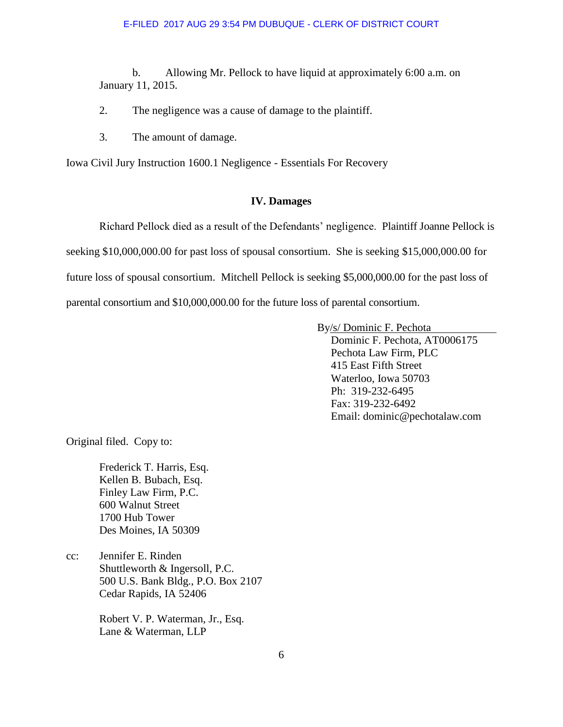b. Allowing Mr. Pellock to have liquid at approximately 6:00 a.m. on January 11, 2015.

- 2. The negligence was a cause of damage to the plaintiff.
- 3. The amount of damage.

Iowa Civil Jury Instruction 1600.1 Negligence - Essentials For Recovery

### **IV. Damages**

Richard Pellock died as a result of the Defendants' negligence. Plaintiff Joanne Pellock is seeking \$10,000,000.00 for past loss of spousal consortium. She is seeking \$15,000,000.00 for future loss of spousal consortium. Mitchell Pellock is seeking \$5,000,000.00 for the past loss of parental consortium and \$10,000,000.00 for the future loss of parental consortium.

By/s/ Dominic F. Pechota

 Dominic F. Pechota, AT0006175 Pechota Law Firm, PLC 415 East Fifth Street Waterloo, Iowa 50703 Ph: 319-232-6495 Fax: 319-232-6492 Email: dominic@pechotalaw.com

Original filed. Copy to:

 Frederick T. Harris, Esq. Kellen B. Bubach, Esq. Finley Law Firm, P.C. 600 Walnut Street 1700 Hub Tower Des Moines, IA 50309

cc: Jennifer E. Rinden Shuttleworth & Ingersoll, P.C. 500 U.S. Bank Bldg., P.O. Box 2107 Cedar Rapids, IA 52406

> Robert V. P. Waterman, Jr., Esq. Lane & Waterman, LLP